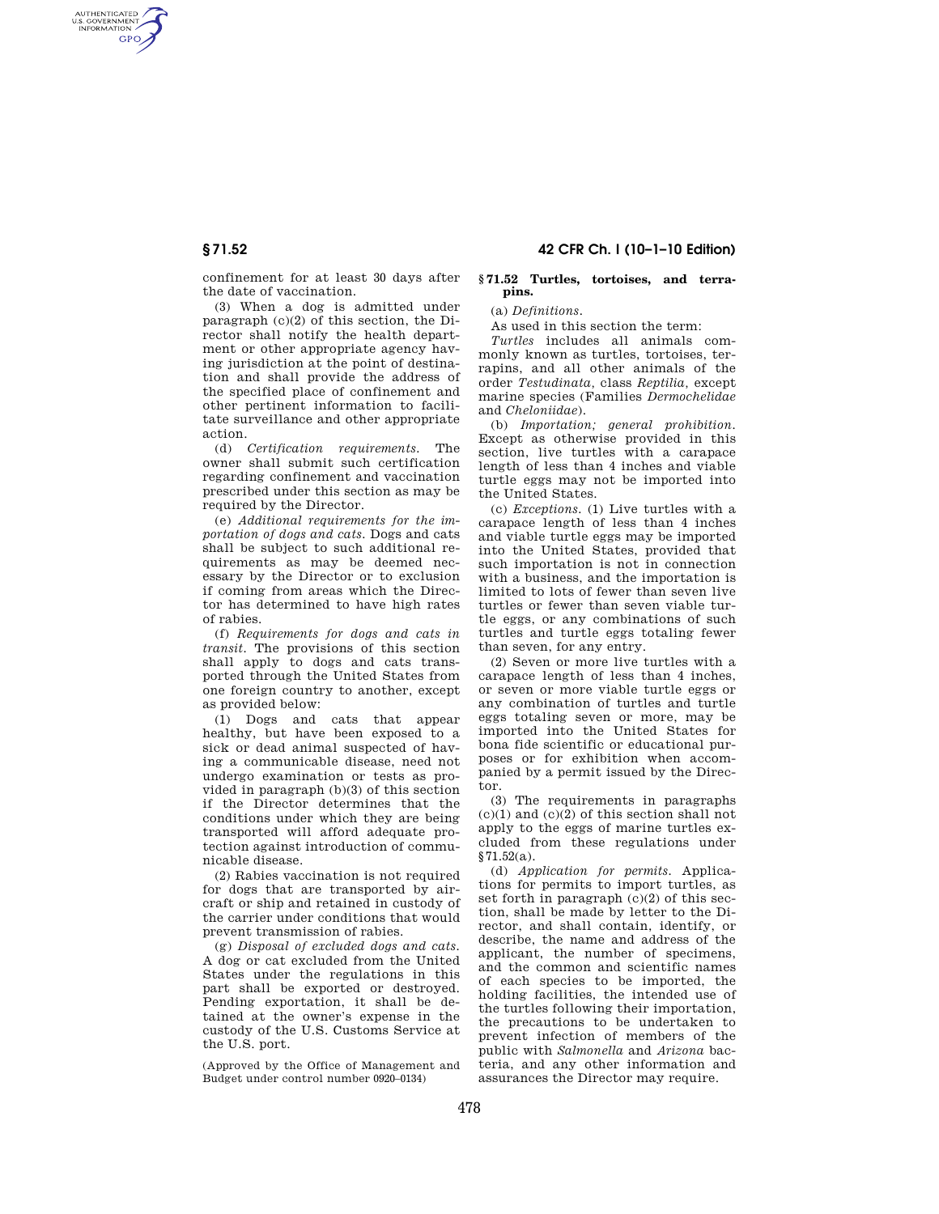AUTHENTICATED<br>U.S. GOVERNMENT<br>INFORMATION **GPO** 

> confinement for at least 30 days after the date of vaccination.

> (3) When a dog is admitted under paragraph (c)(2) of this section, the Director shall notify the health department or other appropriate agency having jurisdiction at the point of destination and shall provide the address of the specified place of confinement and other pertinent information to facilitate surveillance and other appropriate action.

> (d) *Certification requirements.* The owner shall submit such certification regarding confinement and vaccination prescribed under this section as may be required by the Director.

> (e) *Additional requirements for the importation of dogs and cats.* Dogs and cats shall be subject to such additional requirements as may be deemed necessary by the Director or to exclusion if coming from areas which the Director has determined to have high rates of rabies.

> (f) *Requirements for dogs and cats in transit.* The provisions of this section shall apply to dogs and cats transported through the United States from one foreign country to another, except as provided below:

> (1) Dogs and cats that appear healthy, but have been exposed to a sick or dead animal suspected of having a communicable disease, need not undergo examination or tests as provided in paragraph (b)(3) of this section if the Director determines that the conditions under which they are being transported will afford adequate protection against introduction of communicable disease.

> (2) Rabies vaccination is not required for dogs that are transported by aircraft or ship and retained in custody of the carrier under conditions that would prevent transmission of rabies.

> (g) *Disposal of excluded dogs and cats.*  A dog or cat excluded from the United States under the regulations in this part shall be exported or destroyed. Pending exportation, it shall be detained at the owner's expense in the custody of the U.S. Customs Service at the U.S. port.

(Approved by the Office of Management and Budget under control number 0920–0134)

# **§ 71.52 42 CFR Ch. I (10–1–10 Edition)**

### **§ 71.52 Turtles, tortoises, and terrapins.**

(a) *Definitions.* 

As used in this section the term:

*Turtles* includes all animals commonly known as turtles, tortoises, terrapins, and all other animals of the order *Testudinata,* class *Reptilia,* except marine species (Families *Dermochelidae*  and *Cheloniidae*).

(b) *Importation; general prohibition.*  Except as otherwise provided in this section, live turtles with a carapace length of less than 4 inches and viable turtle eggs may not be imported into the United States.

(c) *Exceptions.* (1) Live turtles with a carapace length of less than 4 inches and viable turtle eggs may be imported into the United States, provided that such importation is not in connection with a business, and the importation is limited to lots of fewer than seven live turtles or fewer than seven viable turtle eggs, or any combinations of such turtles and turtle eggs totaling fewer than seven, for any entry.

(2) Seven or more live turtles with a carapace length of less than 4 inches, or seven or more viable turtle eggs or any combination of turtles and turtle eggs totaling seven or more, may be imported into the United States for bona fide scientific or educational purposes or for exhibition when accompanied by a permit issued by the Director.

(3) The requirements in paragraphs  $(c)(1)$  and  $(c)(2)$  of this section shall not apply to the eggs of marine turtles excluded from these regulations under §71.52(a).

(d) *Application for permits.* Applications for permits to import turtles, as set forth in paragraph  $(c)(2)$  of this section, shall be made by letter to the Director, and shall contain, identify, or describe, the name and address of the applicant, the number of specimens, and the common and scientific names of each species to be imported, the holding facilities, the intended use of the turtles following their importation, the precautions to be undertaken to prevent infection of members of the public with *Salmonella* and *Arizona* bacteria, and any other information and assurances the Director may require.